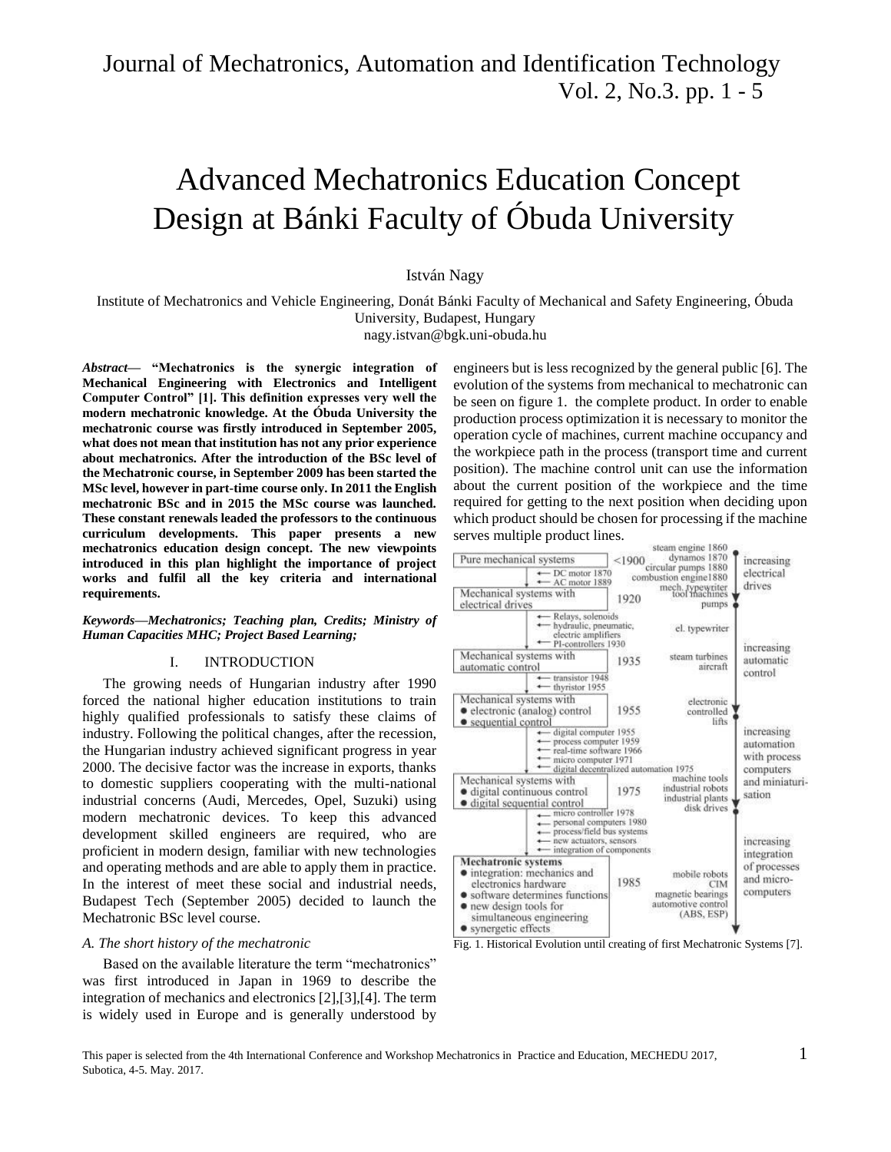# Advanced Mechatronics Education Concept Design at Bánki Faculty of Óbuda University

# István Nagy

Institute of Mechatronics and Vehicle Engineering, Donát Bánki Faculty of Mechanical and Safety Engineering, Óbuda University, Budapest, Hungary

[nagy.istvan@bgk.uni-obuda.hu](mailto:nagy.istvan@bgk.uni-obuda.hu)

*Abstract***— "Mechatronics is the synergic integration of Mechanical Engineering with Electronics and Intelligent Computer Control" [1]. This definition expresses very well the modern mechatronic knowledge. At the Óbuda University the mechatronic course was firstly introduced in September 2005, what does not mean that institution has not any prior experience about mechatronics. After the introduction of the BSc level of the Mechatronic course, in September 2009 has been started the MSc level, however in part-time course only. In 2011 the English mechatronic BSc and in 2015 the MSc course was launched. These constant renewals leaded the professors to the continuous curriculum developments. This paper presents a new mechatronics education design concept. The new viewpoints introduced in this plan highlight the importance of project works and fulfil all the key criteria and international requirements.** 

*Keywords—Mechatronics; Teaching plan, Credits; Ministry of Human Capacities MHC; Project Based Learning;* 

### I. INTRODUCTION

The growing needs of Hungarian industry after 1990 forced the national higher education institutions to train highly qualified professionals to satisfy these claims of industry. Following the political changes, after the recession, the Hungarian industry achieved significant progress in year 2000. The decisive factor was the increase in exports, thanks to domestic suppliers cooperating with the multi-national industrial concerns (Audi, Mercedes, Opel, Suzuki) using modern mechatronic devices. To keep this advanced development skilled engineers are required, who are proficient in modern design, familiar with new technologies and operating methods and are able to apply them in practice. In the interest of meet these social and industrial needs, Budapest Tech (September 2005) decided to launch the Mechatronic BSc level course.

#### *A. The short history of the mechatronic*

Based on the available literature the term "mechatronics" was first introduced in Japan in 1969 to describe the integration of mechanics and electronics [2],[3],[4]. The term is widely used in Europe and is generally understood by

engineers but is less recognized by the general public [6]. The evolution of the systems from mechanical to mechatronic can be seen on figure 1. the complete product. In order to enable production process optimization it is necessary to monitor the operation cycle of machines, current machine occupancy and the workpiece path in the process (transport time and current position). The machine control unit can use the information about the current position of the workpiece and the time required for getting to the next position when deciding upon which product should be chosen for processing if the machine serves multiple product lines.



Fig. 1. Historical Evolution until creating of first Mechatronic Systems [7].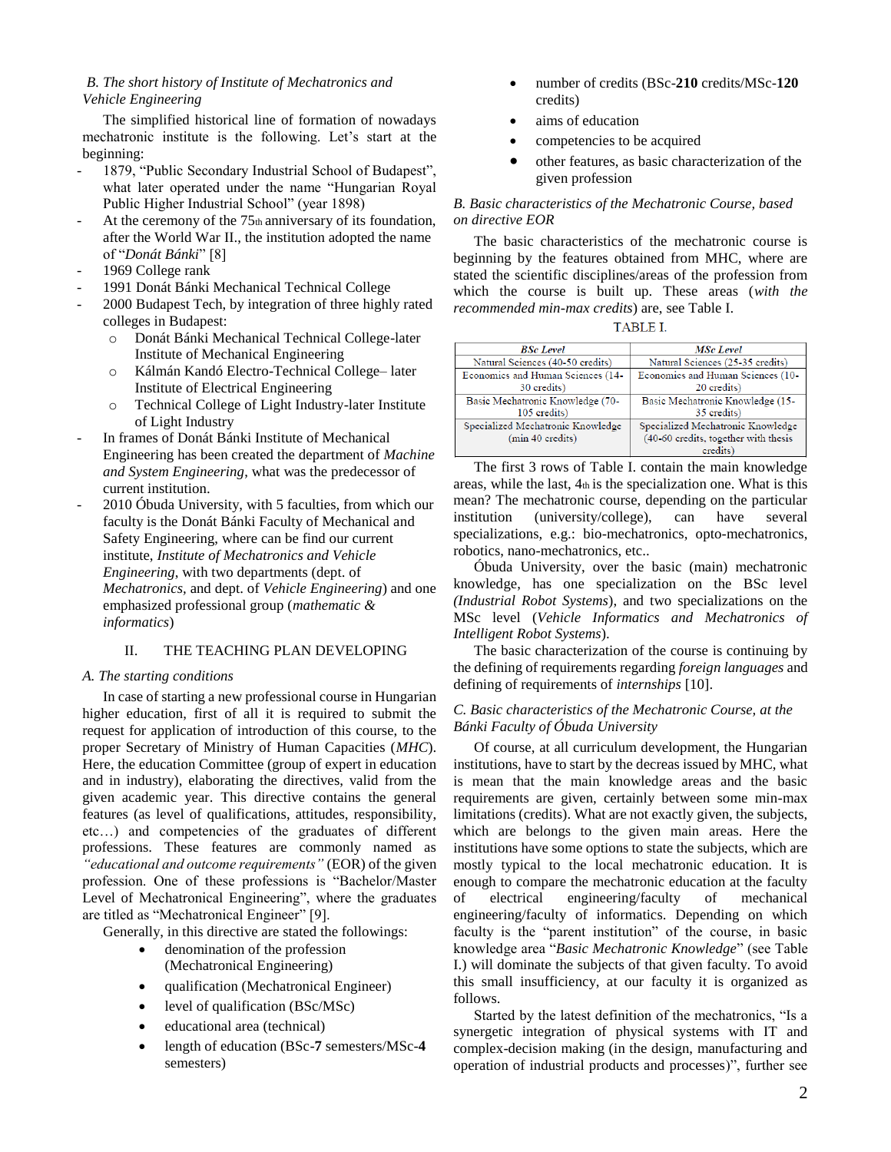## *B. The short history of Institute of Mechatronics and Vehicle Engineering*

The simplified historical line of formation of nowadays mechatronic institute is the following. Let's start at the beginning:

- 1879, "Public Secondary Industrial School of Budapest", what later operated under the name "Hungarian Royal Public Higher Industrial School" (year 1898)
- At the ceremony of the  $75<sub>th</sub>$  anniversary of its foundation, after the World War II., the institution adopted the name of "*Donát Bánki*" [8]
- 1969 College rank
- 1991 Donát Bánki Mechanical Technical College
- 2000 Budapest Tech, by integration of three highly rated colleges in Budapest:
	- o Donát Bánki Mechanical Technical College-later Institute of Mechanical Engineering
	- o Kálmán Kandó Electro-Technical College– later Institute of Electrical Engineering
	- o Technical College of Light Industry-later Institute of Light Industry
- In frames of Donát Bánki Institute of Mechanical Engineering has been created the department of *Machine and System Engineering*, what was the predecessor of current institution.
- 2010 Óbuda University, with 5 faculties, from which our faculty is the Donát Bánki Faculty of Mechanical and Safety Engineering, where can be find our current institute, *Institute of Mechatronics and Vehicle Engineering*, with two departments (dept. of *Mechatronics,* and dept. of *Vehicle Engineering*) and one emphasized professional group (*mathematic & informatics*)

# II. THE TEACHING PLAN DEVELOPING

## *A. The starting conditions*

In case of starting a new professional course in Hungarian higher education, first of all it is required to submit the request for application of introduction of this course, to the proper Secretary of Ministry of Human Capacities (*MHC*). Here, the education Committee (group of expert in education and in industry), elaborating the directives, valid from the given academic year. This directive contains the general features (as level of qualifications, attitudes, responsibility, etc…) and competencies of the graduates of different professions. These features are commonly named as *"educational and outcome requirements"* (EOR) of the given profession. One of these professions is "Bachelor/Master Level of Mechatronical Engineering", where the graduates are titled as "Mechatronical Engineer" [9].

Generally, in this directive are stated the followings:

- denomination of the profession (Mechatronical Engineering)
- qualification (Mechatronical Engineer)
- level of qualification (BSc/MSc)
- educational area (technical)
- length of education (BSc-**7** semesters/MSc-**4**  semesters)
- number of credits (BSc-**210** credits/MSc-**120**  credits)
- aims of education
- competencies to be acquired
- other features, as basic characterization of the given profession

# *B. Basic characteristics of the Mechatronic Course, based on directive EOR*

The basic characteristics of the mechatronic course is beginning by the features obtained from MHC, where are stated the scientific disciplines/areas of the profession from which the course is built up. These areas (*with the recommended min-max credits*) are, see Table I.

| <b>BSc</b> Level                  | <b>MSc</b> Level                     |
|-----------------------------------|--------------------------------------|
| Natural Sciences (40-50 credits)  | Natural Sciences (25-35 credits)     |
| Economics and Human Sciences (14- | Economics and Human Sciences (10-    |
| 30 credits)                       | 20 credits)                          |
| Basic Mechatronic Knowledge (70-  | Basic Mechatronic Knowledge (15-     |
| 105 credits)                      | 35 credits)                          |
| Specialized Mechatronic Knowledge | Specialized Mechatronic Knowledge    |
| (min 40 credits)                  | (40-60 credits, together with thesis |
|                                   | credits)                             |

The first 3 rows of Table I. contain the main knowledge areas, while the last, 4th is the specialization one. What is this mean? The mechatronic course, depending on the particular institution (university/college), can have several specializations, e.g.: bio-mechatronics, opto-mechatronics, robotics, nano-mechatronics, etc..

Óbuda University, over the basic (main) mechatronic knowledge, has one specialization on the BSc level *(Industrial Robot Systems*), and two specializations on the MSc level (*Vehicle Informatics and Mechatronics of Intelligent Robot Systems*).

The basic characterization of the course is continuing by the defining of requirements regarding *foreign languages* and defining of requirements of *internships* [10].

# *C. Basic characteristics of the Mechatronic Course, at the Bánki Faculty of Óbuda University*

Of course, at all curriculum development, the Hungarian institutions, have to start by the decreas issued by MHC, what is mean that the main knowledge areas and the basic requirements are given, certainly between some min-max limitations (credits). What are not exactly given, the subjects, which are belongs to the given main areas. Here the institutions have some options to state the subjects, which are mostly typical to the local mechatronic education. It is enough to compare the mechatronic education at the faculty of electrical engineering/faculty of mechanical engineering/faculty of informatics. Depending on which faculty is the "parent institution" of the course, in basic knowledge area "*Basic Mechatronic Knowledge*" (see Table I.) will dominate the subjects of that given faculty. To avoid this small insufficiency, at our faculty it is organized as follows.

Started by the latest definition of the mechatronics, "Is a synergetic integration of physical systems with IT and complex-decision making (in the design, manufacturing and operation of industrial products and processes)", further see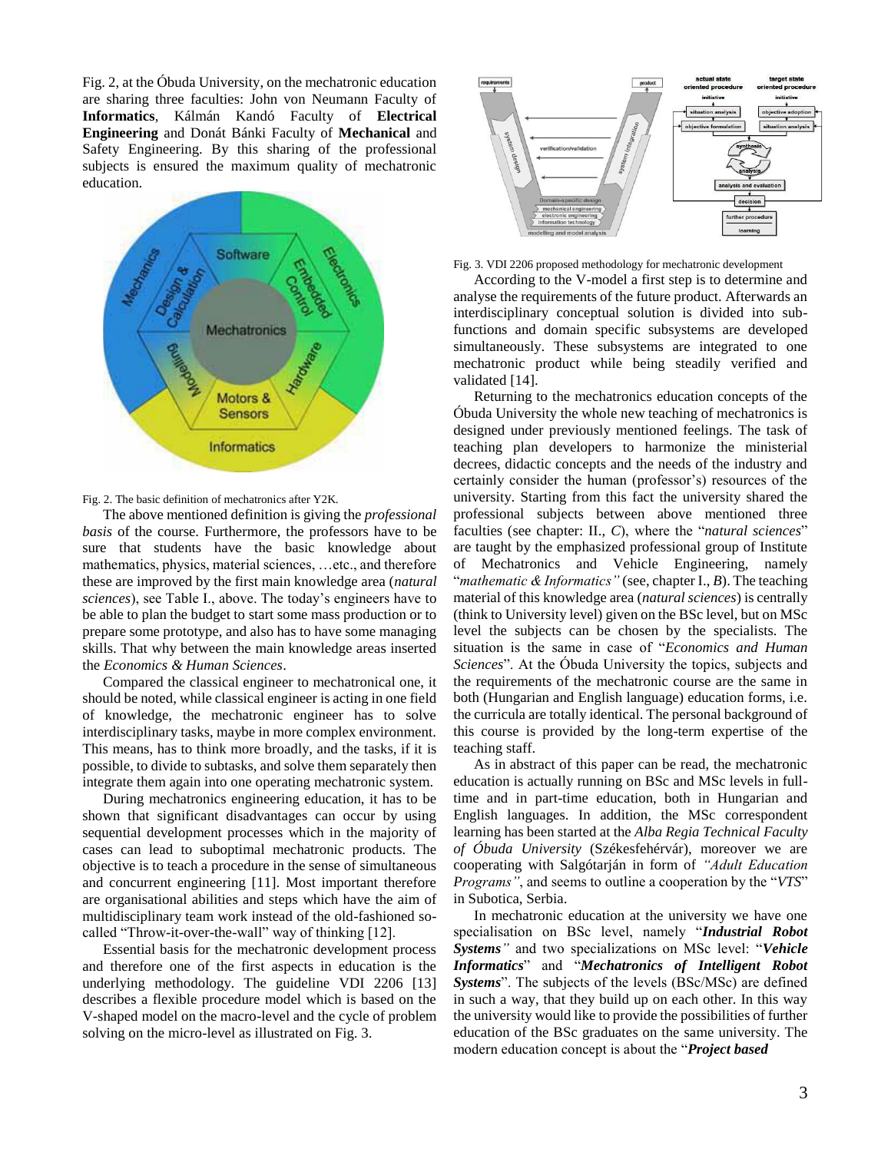Fig. 2, at the Óbuda University, on the mechatronic education are sharing three faculties: John von Neumann Faculty of **Informatics**, Kálmán Kandó Faculty of **Electrical Engineering** and Donát Bánki Faculty of **Mechanical** and Safety Engineering. By this sharing of the professional subjects is ensured the maximum quality of mechatronic education.



Fig. 2. The basic definition of mechatronics after Y2K.

The above mentioned definition is giving the *professional basis* of the course. Furthermore, the professors have to be sure that students have the basic knowledge about mathematics, physics, material sciences, …etc., and therefore these are improved by the first main knowledge area (*natural sciences*), see Table I., above. The today's engineers have to be able to plan the budget to start some mass production or to prepare some prototype, and also has to have some managing skills. That why between the main knowledge areas inserted the *Economics & Human Sciences*.

Compared the classical engineer to mechatronical one, it should be noted, while classical engineer is acting in one field of knowledge, the mechatronic engineer has to solve interdisciplinary tasks, maybe in more complex environment. This means, has to think more broadly, and the tasks, if it is possible, to divide to subtasks, and solve them separately then integrate them again into one operating mechatronic system.

During mechatronics engineering education, it has to be shown that significant disadvantages can occur by using sequential development processes which in the majority of cases can lead to suboptimal mechatronic products. The objective is to teach a procedure in the sense of simultaneous and concurrent engineering [11]. Most important therefore are organisational abilities and steps which have the aim of multidisciplinary team work instead of the old-fashioned socalled "Throw-it-over-the-wall" way of thinking [12].

Essential basis for the mechatronic development process and therefore one of the first aspects in education is the underlying methodology. The guideline VDI 2206 [13] describes a flexible procedure model which is based on the V-shaped model on the macro-level and the cycle of problem solving on the micro-level as illustrated on Fig. 3.



Fig. 3. VDI 2206 proposed methodology for mechatronic development

According to the V-model a first step is to determine and analyse the requirements of the future product. Afterwards an interdisciplinary conceptual solution is divided into subfunctions and domain specific subsystems are developed simultaneously. These subsystems are integrated to one mechatronic product while being steadily verified and validated [14].

Returning to the mechatronics education concepts of the Óbuda University the whole new teaching of mechatronics is designed under previously mentioned feelings. The task of teaching plan developers to harmonize the ministerial decrees, didactic concepts and the needs of the industry and certainly consider the human (professor's) resources of the university. Starting from this fact the university shared the professional subjects between above mentioned three faculties (see chapter: II., *C*), where the "*natural sciences*" are taught by the emphasized professional group of Institute of Mechatronics and Vehicle Engineering, namely "*mathematic & Informatics"* (see, chapter I., *B*). The teaching material of this knowledge area (*natural sciences*) is centrally (think to University level) given on the BSc level, but on MSc level the subjects can be chosen by the specialists. The situation is the same in case of "*Economics and Human Sciences*". At the Óbuda University the topics, subjects and the requirements of the mechatronic course are the same in both (Hungarian and English language) education forms, i.e. the curricula are totally identical. The personal background of this course is provided by the long-term expertise of the teaching staff.

As in abstract of this paper can be read, the mechatronic education is actually running on BSc and MSc levels in fulltime and in part-time education, both in Hungarian and English languages. In addition, the MSc correspondent learning has been started at the *Alba Regia Technical Faculty of Óbuda University* (Székesfehérvár), moreover we are cooperating with Salgótarján in form of *"Adult Education Programs"*, and seems to outline a cooperation by the "*VTS*" in Subotica, Serbia.

In mechatronic education at the university we have one specialisation on BSc level, namely "*Industrial Robot Systems"* and two specializations on MSc level: "*Vehicle Informatics*" and "*Mechatronics of Intelligent Robot Systems*". The subjects of the levels (BSc/MSc) are defined in such a way, that they build up on each other. In this way the university would like to provide the possibilities of further education of the BSc graduates on the same university. The modern education concept is about the "*Project based*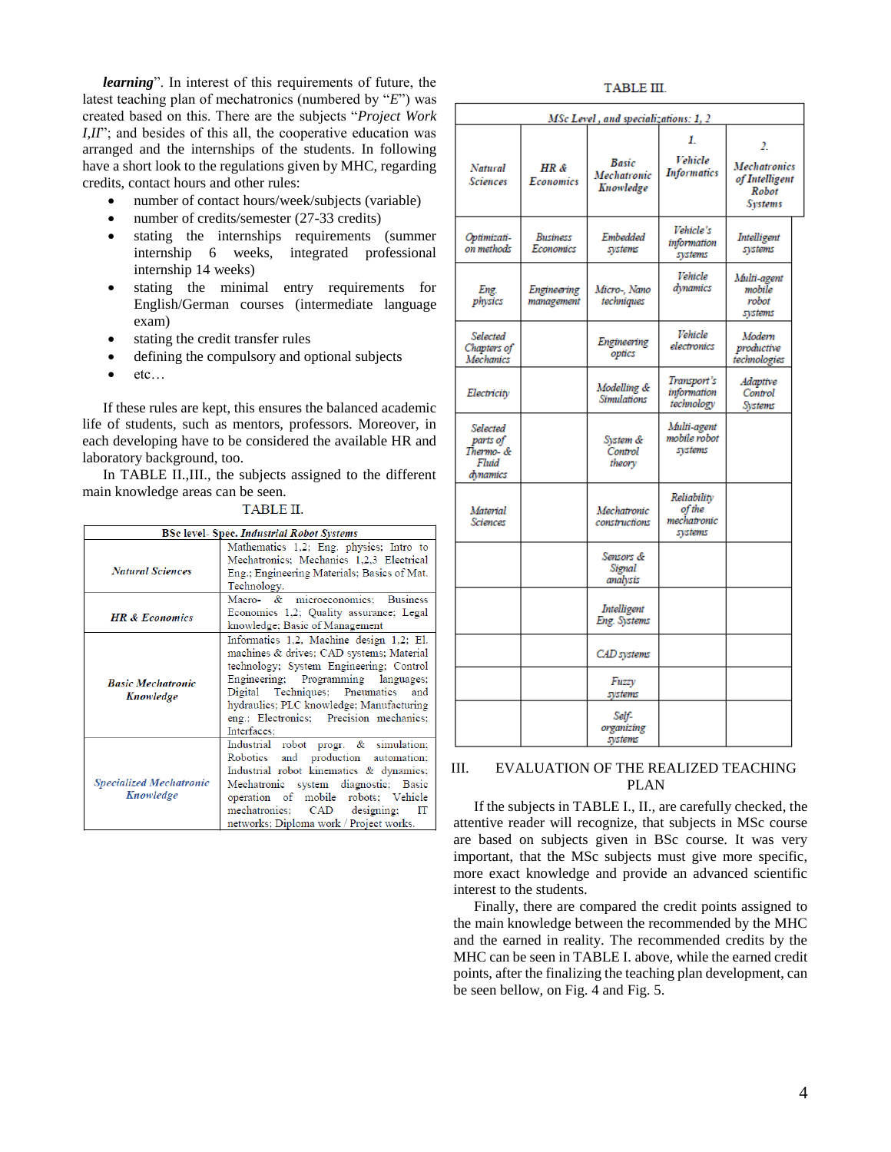*learning*". In interest of this requirements of future, the latest teaching plan of mechatronics (numbered by "*E*") was created based on this. There are the subjects "*Project Work I,II*"; and besides of this all, the cooperative education was arranged and the internships of the students. In following have a short look to the regulations given by MHC, regarding credits, contact hours and other rules:

- number of contact hours/week/subjects (variable)
- number of credits/semester (27-33 credits)
- stating the internships requirements (summer internship 6 weeks, integrated professional internship 14 weeks)
- stating the minimal entry requirements for English/German courses (intermediate language exam)
- stating the credit transfer rules
- defining the compulsory and optional subjects
- etc…

If these rules are kept, this ensures the balanced academic life of students, such as mentors, professors. Moreover, in each developing have to be considered the available HR and laboratory background, too.

In TABLE II.,III., the subjects assigned to the different main knowledge areas can be seen.

| _<br>_ |  |  |
|--------|--|--|

|                                             | <b>BSc level- Spec. Industrial Robot Systems</b>                                                                                                                                                                                                                                                                      |  |  |  |
|---------------------------------------------|-----------------------------------------------------------------------------------------------------------------------------------------------------------------------------------------------------------------------------------------------------------------------------------------------------------------------|--|--|--|
| <b>Natural Sciences</b>                     | Mathematics 1,2; Eng. physics; Intro to<br>Mechatronics; Mechanics 1,2,3 Electrical<br>Eng.; Engineering Materials; Basics of Mat.<br>Technology.                                                                                                                                                                     |  |  |  |
| <b>HR &amp; Economics</b>                   | microeconomics; Business<br>Macro- &<br>Economics 1,2; Quality assurance; Legal<br>knowledge; Basic of Management                                                                                                                                                                                                     |  |  |  |
| <b>Basic Mechatronic</b><br>Knowledge       | Informatics 1,2, Machine design 1,2; El.<br>machines & drives; CAD systems; Material<br>technology; System Engineering; Control<br>Engineering; Programming languages;<br>Digital Techniques; Pneumatics<br>and<br>hydraulics; PLC knowledge; Manufacturing<br>eng.; Electronics; Precision mechanics;<br>Interfaces: |  |  |  |
| <b>Specialized Mechatronic</b><br>Knowledge | Industrial robot progr. & simulation;<br>and production<br>Robotics<br>automation;<br>Industrial robot kinematics & dynamics;<br>Mechatronic system diagnostic; Basic<br>operation of mobile robots; Vehicle<br>CAD designing;<br>mechatronics;<br>IT<br>networks; Diploma work / Project works.                      |  |  |  |

## TABLE III.

| MSc Level, and specializations: 1, 2                   |                           |                                          |                                                 |                                                                        |
|--------------------------------------------------------|---------------------------|------------------------------------------|-------------------------------------------------|------------------------------------------------------------------------|
| Natural<br>Sciences                                    | HR &<br>Economics         | <b>Basic</b><br>Mechatronic<br>Knowledge | 1.<br>Vehicle<br>Informatics                    | 2.<br><b>Mechatronics</b><br>of Intelligent<br>Robot<br><b>Systems</b> |
| Optimizati-<br>on methods                              | Business<br>Economics     | Embedded<br>systems                      | Vehicle's<br>information<br>systems             | Intelligent<br>systems                                                 |
| Eng.<br>physics                                        | Engineering<br>management | Micro-, Nano<br>techniques               | Vehicle<br>dynamics                             | Multi-agent<br>mobile<br>robot<br>systems                              |
| Selected<br>Chapters of<br><b>Mechanics</b>            |                           | Engineering<br>optics                    | Vehicle<br>electronics                          | Modern<br>productive<br>technologies                                   |
| Electricity                                            |                           | Modelling &<br><b>Simulations</b>        | Transport's<br>information<br>technology        | Adaptive<br>Control<br>Systems                                         |
| Selected<br>parts of<br>Thermo- &<br>Fluid<br>dynamics |                           | System &<br>Control<br>theory            | Multi-agent<br>mobile robot<br>systems          |                                                                        |
| Material<br>Sciences                                   |                           | Mechatronic<br>constructions             | Reliability<br>of the<br>mechatronic<br>systems |                                                                        |
|                                                        |                           | Sensors &<br>Signal<br>analysis          |                                                 |                                                                        |
|                                                        |                           | Intelligent<br>Eng. Systems              |                                                 |                                                                        |
|                                                        |                           | CAD systems                              |                                                 |                                                                        |
|                                                        |                           | Fuzzy<br>systems                         |                                                 |                                                                        |
|                                                        |                           | Self-<br>organizing<br>systems           |                                                 |                                                                        |

## III. EVALUATION OF THE REALIZED TEACHING PLAN

If the subjects in TABLE I., II., are carefully checked, the attentive reader will recognize, that subjects in MSc course are based on subjects given in BSc course. It was very important, that the MSc subjects must give more specific, more exact knowledge and provide an advanced scientific interest to the students.

Finally, there are compared the credit points assigned to the main knowledge between the recommended by the MHC and the earned in reality. The recommended credits by the MHC can be seen in TABLE I. above, while the earned credit points, after the finalizing the teaching plan development, can be seen bellow, on Fig. 4 and Fig. 5.